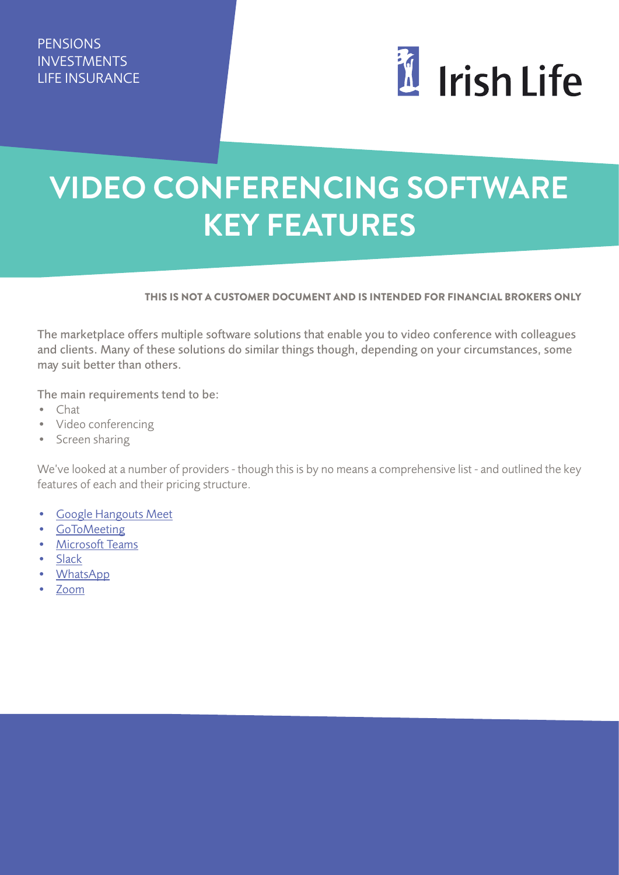

## **VIDEO CONFERENCING SOFTWARE KEY FEATURES**

## THIS IS NOT A CUSTOMER DOCUMENT AND IS INTENDED FOR FINANCIAL BROKERS ONLY

The marketplace offers multiple software solutions that enable you to video conference with colleagues and clients. Many of these solutions do similar things though, depending on your circumstances, some may suit better than others.

The main requirements tend to be:

- Chat
- Video conferencing
- Screen sharing

We've looked at a number of providers - though this is by no means a comprehensive list - and outlined the key features of each and their pricing structure.

- [Google Hangouts Meet](https://gsuite.google.ie/intl/en_ie/products/meet/)
- [GoToMeeting](https://www.gotomeeting.com/)
- [Microsoft Teams](https://www.microsoft.com/en-ie/microsoft-365/microsoft-teams/group-chat-software)
- [Slack](https://slack.com/)
- [WhatsApp](http://www.whatsapp.com/)
- [Zoom](https://zoom.us/)